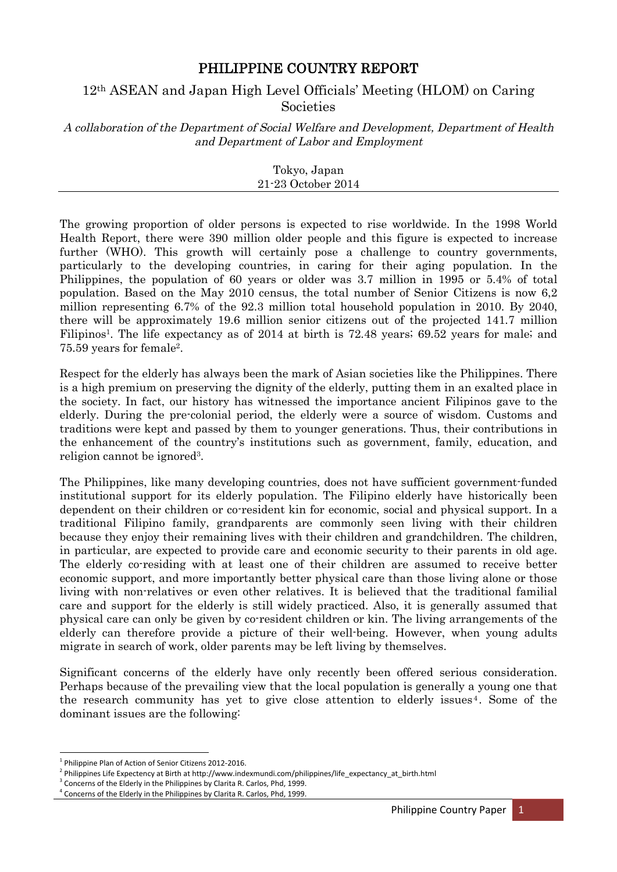## PHILIPPINE COUNTRY REPORT

# 12th ASEAN and Japan High Level Officials' Meeting (HLOM) on Caring **Societies**

A collaboration of the Department of Social Welfare and Development, Department of Health and Department of Labor and Employment

> Tokyo, Japan 21-23 October 2014

The growing proportion of older persons is expected to rise worldwide. In the 1998 World Health Report, there were 390 million older people and this figure is expected to increase further (WHO). This growth will certainly pose a challenge to country governments, particularly to the developing countries, in caring for their aging population. In the Philippines, the population of 60 years or older was 3.7 million in 1995 or 5.4% of total population. Based on the May 2010 census, the total number of Senior Citizens is now 6,2 million representing 6.7% of the 92.3 million total household population in 2010. By 2040, there will be approximately 19.6 million senior citizens out of the projected 141.7 million Filipinos<sup>1</sup>. The life expectancy as of 2014 at birth is 72.48 years; 69.52 years for male; and 75.59 years for female 2 .

Respect for the elderly has always been the mark of Asian societies like the Philippines. There is a high premium on preserving the dignity of the elderly, putting them in an exalted place in the society. In fact, our history has witnessed the importance ancient Filipinos gave to the elderly. During the pre-colonial period, the elderly were a source of wisdom. Customs and traditions were kept and passed by them to younger generations. Thus, their contributions in the enhancement of the country's institutions such as government, family, education, and religion cannot be ignored<sup>3</sup>.

The Philippines, like many developing countries, does not have sufficient government-funded institutional support for its elderly population. The Filipino elderly have historically been dependent on their children or co-resident kin for economic, social and physical support. In a traditional Filipino family, grandparents are commonly seen living with their children because they enjoy their remaining lives with their children and grandchildren. The children, in particular, are expected to provide care and economic security to their parents in old age. The elderly co-residing with at least one of their children are assumed to receive better economic support, and more importantly better physical care than those living alone or those living with non-relatives or even other relatives. It is believed that the traditional familial care and support for the elderly is still widely practiced. Also, it is generally assumed that physical care can only be given by co-resident children or kin. The living arrangements of the elderly can therefore provide a picture of their well-being. However, when young adults migrate in search of work, older parents may be left living by themselves.

Significant concerns of the elderly have only recently been offered serious consideration. Perhaps because of the prevailing view that the local population is generally a young one that the research community has yet to give close attention to elderly issues 4 . Some of the dominant issues are the following:

<sup>1</sup> Philippine Plan of Action of Senior Citizens 2012-2016.

<sup>2</sup> Philippines Life Expectency at Birth at http://www.indexmundi.com/philippines/life\_expectancy\_at\_birth.html

<sup>3</sup> Concerns of the Elderly in the Philippines by Clarita R. Carlos, Phd, 1999.

<sup>4</sup> Concerns of the Elderly in the Philippines by Clarita R. Carlos, Phd, 1999.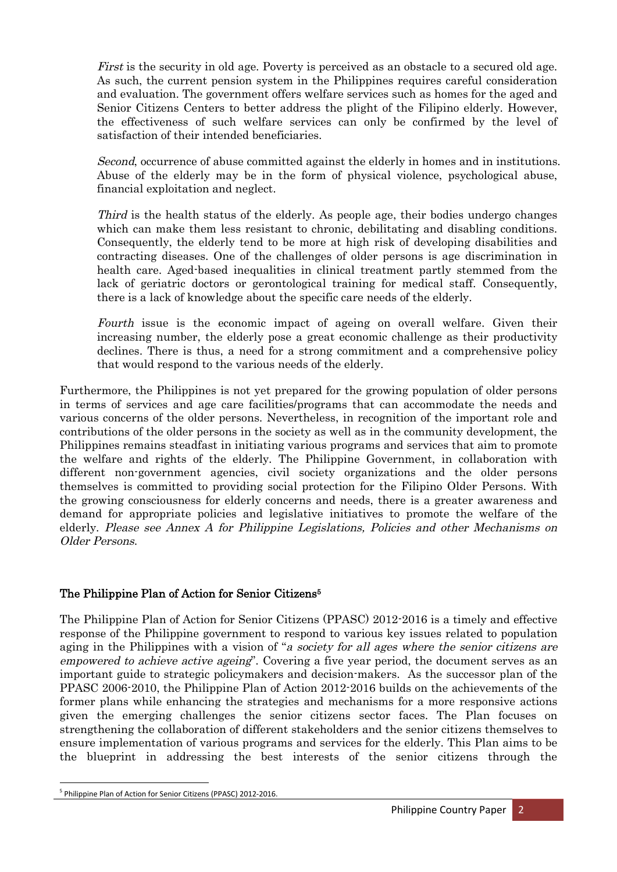First is the security in old age. Poverty is perceived as an obstacle to a secured old age. As such, the current pension system in the Philippines requires careful consideration and evaluation. The government offers welfare services such as homes for the aged and Senior Citizens Centers to better address the plight of the Filipino elderly. However, the effectiveness of such welfare services can only be confirmed by the level of satisfaction of their intended beneficiaries.

Second, occurrence of abuse committed against the elderly in homes and in institutions. Abuse of the elderly may be in the form of physical violence, psychological abuse, financial exploitation and neglect.

Third is the health status of the elderly. As people age, their bodies undergo changes which can make them less resistant to chronic, debilitating and disabling conditions. Consequently, the elderly tend to be more at high risk of developing disabilities and contracting diseases. One of the challenges of older persons is age discrimination in health care. Aged-based inequalities in clinical treatment partly stemmed from the lack of geriatric doctors or gerontological training for medical staff. Consequently, there is a lack of knowledge about the specific care needs of the elderly.

Fourth issue is the economic impact of ageing on overall welfare. Given their increasing number, the elderly pose a great economic challenge as their productivity declines. There is thus, a need for a strong commitment and a comprehensive policy that would respond to the various needs of the elderly.

Furthermore, the Philippines is not yet prepared for the growing population of older persons in terms of services and age care facilities/programs that can accommodate the needs and various concerns of the older persons. Nevertheless, in recognition of the important role and contributions of the older persons in the society as well as in the community development, the Philippines remains steadfast in initiating various programs and services that aim to promote the welfare and rights of the elderly. The Philippine Government, in collaboration with different non-government agencies, civil society organizations and the older persons themselves is committed to providing social protection for the Filipino Older Persons. With the growing consciousness for elderly concerns and needs, there is a greater awareness and demand for appropriate policies and legislative initiatives to promote the welfare of the elderly. Please see Annex A for Philippine Legislations, Policies and other Mechanisms on Older Persons.

### The Philippine Plan of Action for Senior Citizens 5

The Philippine Plan of Action for Senior Citizens (PPASC) 2012-2016 is a timely and effective response of the Philippine government to respond to various key issues related to population aging in the Philippines with a vision of "a society for all ages where the senior citizens are empowered to achieve active ageing". Covering a five year period, the document serves as an important guide to strategic policymakers and decision-makers. As the successor plan of the PPASC 2006-2010, the Philippine Plan of Action 2012-2016 builds on the achievements of the former plans while enhancing the strategies and mechanisms for a more responsive actions given the emerging challenges the senior citizens sector faces. The Plan focuses on strengthening the collaboration of different stakeholders and the senior citizens themselves to ensure implementation of various programs and services for the elderly. This Plan aims to be the blueprint in addressing the best interests of the senior citizens through the

<sup>5</sup> Philippine Plan of Action for Senior Citizens (PPASC) 2012-2016.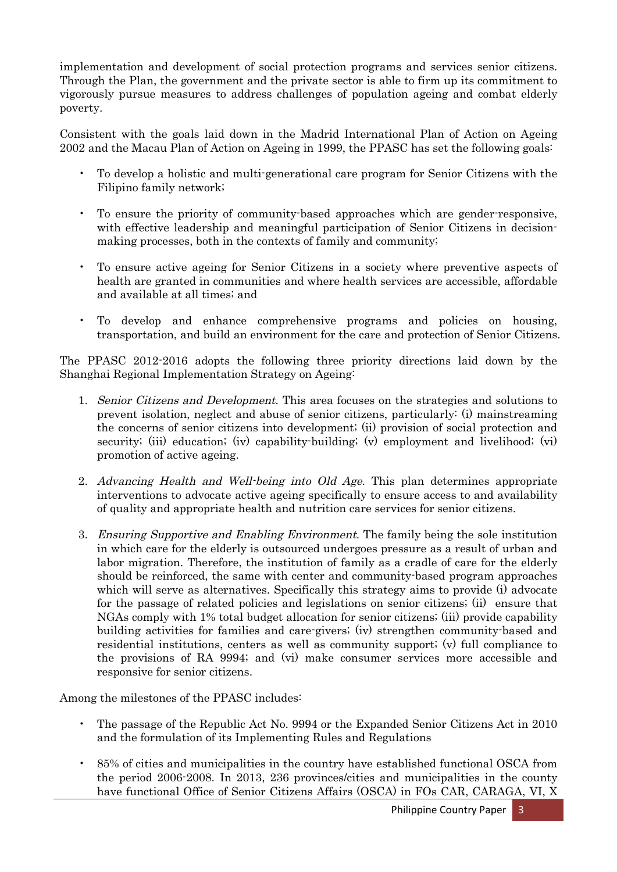implementation and development of social protection programs and services senior citizens. Through the Plan, the government and the private sector is able to firm up its commitment to vigorously pursue measures to address challenges of population ageing and combat elderly poverty.

Consistent with the goals laid down in the Madrid International Plan of Action on Ageing 2002 and the Macau Plan of Action on Ageing in 1999, the PPASC has set the following goals:

- To develop a holistic and multi-generational care program for Senior Citizens with the Filipino family network;
- To ensure the priority of community-based approaches which are gender-responsive, with effective leadership and meaningful participation of Senior Citizens in decisionmaking processes, both in the contexts of family and community;
- To ensure active ageing for Senior Citizens in a society where preventive aspects of health are granted in communities and where health services are accessible, affordable and available at all times; and
- To develop and enhance comprehensive programs and policies on housing, transportation, and build an environment for the care and protection of Senior Citizens.

The PPASC 2012-2016 adopts the following three priority directions laid down by the Shanghai Regional Implementation Strategy on Ageing:

- 1. Senior Citizens and Development. This area focuses on the strategies and solutions to prevent isolation, neglect and abuse of senior citizens, particularly: (i) mainstreaming the concerns of senior citizens into development; (ii) provision of social protection and security; (iii) education; (iv) capability-building; (v) employment and livelihood; (vi) promotion of active ageing.
- 2. Advancing Health and Well-being into Old Age. This plan determines appropriate interventions to advocate active ageing specifically to ensure access to and availability of quality and appropriate health and nutrition care services for senior citizens.
- 3. Ensuring Supportive and Enabling Environment. The family being the sole institution in which care for the elderly is outsourced undergoes pressure as a result of urban and labor migration. Therefore, the institution of family as a cradle of care for the elderly should be reinforced, the same with center and community-based program approaches which will serve as alternatives. Specifically this strategy aims to provide (i) advocate for the passage of related policies and legislations on senior citizens; (ii) ensure that NGAs comply with 1% total budget allocation for senior citizens; (iii) provide capability building activities for families and care-givers; (iv) strengthen community-based and residential institutions, centers as well as community support; (v) full compliance to the provisions of RA 9994; and (vi) make consumer services more accessible and responsive for senior citizens.

Among the milestones of the PPASC includes:

- The passage of the Republic Act No. 9994 or the Expanded Senior Citizens Act in 2010 and the formulation of its Implementing Rules and Regulations
- 85% of cities and municipalities in the country have established functional OSCA from the period 2006-2008. In 2013, 236 provinces/cities and municipalities in the county have functional Office of Senior Citizens Affairs (OSCA) in FOs CAR, CARAGA, VI, X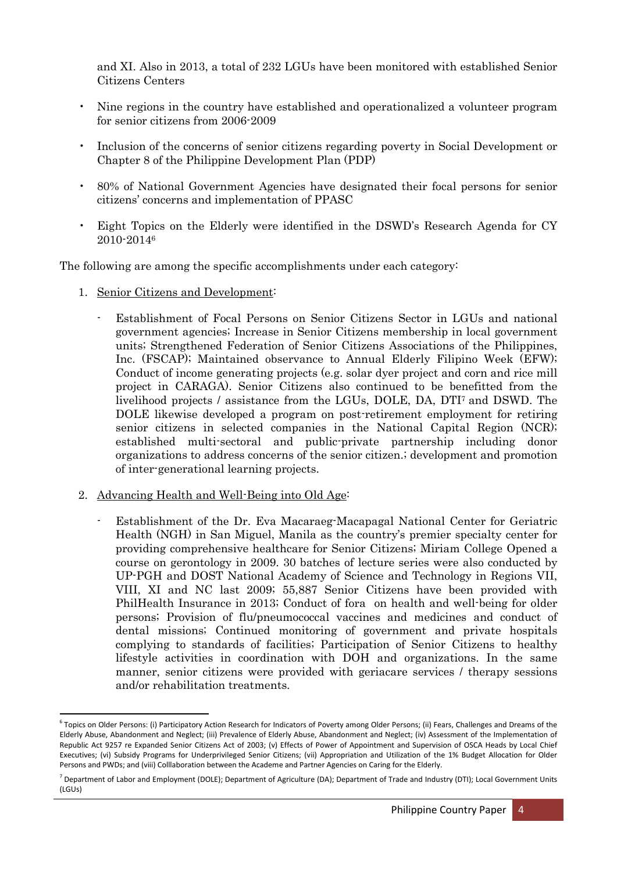and XI. Also in 2013, a total of 232 LGUs have been monitored with established Senior Citizens Centers

- Nine regions in the country have established and operationalized a volunteer program for senior citizens from 2006-2009
- Inclusion of the concerns of senior citizens regarding poverty in Social Development or Chapter 8 of the Philippine Development Plan (PDP)
- 80% of National Government Agencies have designated their focal persons for senior citizens' concerns and implementation of PPASC
- Eight Topics on the Elderly were identified in the DSWD's Research Agenda for CY 2010-2014<sup>6</sup>

The following are among the specific accomplishments under each category:

- 1. Senior Citizens and Development:
	- Establishment of Focal Persons on Senior Citizens Sector in LGUs and national government agencies; Increase in Senior Citizens membership in local government units; Strengthened Federation of Senior Citizens Associations of the Philippines, Inc. (FSCAP); Maintained observance to Annual Elderly Filipino Week (EFW); Conduct of income generating projects (e.g. solar dyer project and corn and rice mill project in CARAGA). Senior Citizens also continued to be benefitted from the livelihood projects / assistance from the LGUs, DOLE, DA, DTI<sup>7</sup> and DSWD. The DOLE likewise developed a program on post-retirement employment for retiring senior citizens in selected companies in the National Capital Region (NCR); established multi-sectoral and public-private partnership including donor organizations to address concerns of the senior citizen.; development and promotion of inter-generational learning projects.
- 2. Advancing Health and Well-Being into Old Age:
	- Establishment of the Dr. Eva Macaraeg-Macapagal National Center for Geriatric Health (NGH) in San Miguel, Manila as the country's premier specialty center for providing comprehensive healthcare for Senior Citizens; Miriam College Opened a course on gerontology in 2009. 30 batches of lecture series were also conducted by UP-PGH and DOST National Academy of Science and Technology in Regions VII, VIII, XI and NC last 2009; 55,887 Senior Citizens have been provided with PhilHealth Insurance in 2013; Conduct of fora on health and well-being for older persons; Provision of flu/pneumococcal vaccines and medicines and conduct of dental missions; Continued monitoring of government and private hospitals complying to standards of facilities; Participation of Senior Citizens to healthy lifestyle activities in coordination with DOH and organizations. In the same manner, senior citizens were provided with geriacare services / therapy sessions and/or rehabilitation treatments.

<sup>&</sup>lt;sup>6</sup> Topics on Older Persons: (i) Participatory Action Research for Indicators of Poverty among Older Persons; (ii) Fears, Challenges and Dreams of the Elderly Abuse, Abandonment and Neglect; (iii) Prevalence of Elderly Abuse, Abandonment and Neglect; (iv) Assessment of the Implementation of Republic Act 9257 re Expanded Senior Citizens Act of 2003; (v) Effects of Power of Appointment and Supervision of OSCA Heads by Local Chief Executives; (vi) Subsidy Programs for Underprivileged Senior Citizens; (vii) Appropriation and Utilization of the 1% Budget Allocation for Older Persons and PWDs; and (viii) Colllaboration between the Academe and Partner Agencies on Caring for the Elderly.

<sup>7</sup> Department of Labor and Employment (DOLE); Department of Agriculture (DA); Department of Trade and Industry (DTI); Local Government Units  $(IGUS)$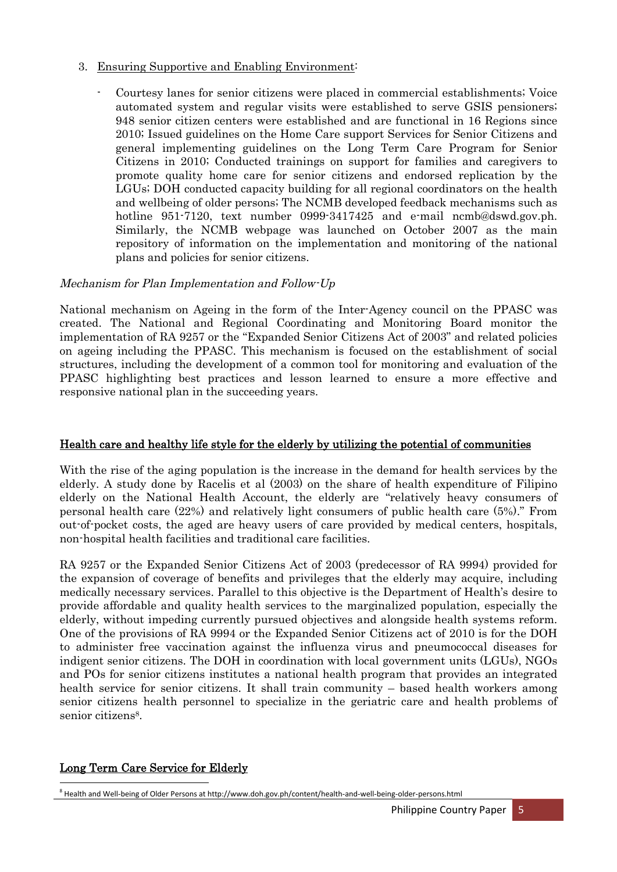- 3. Ensuring Supportive and Enabling Environment:
	- Courtesy lanes for senior citizens were placed in commercial establishments; Voice automated system and regular visits were established to serve GSIS pensioners; 948 senior citizen centers were established and are functional in 16 Regions since 2010; Issued guidelines on the Home Care support Services for Senior Citizens and general implementing guidelines on the Long Term Care Program for Senior Citizens in 2010; Conducted trainings on support for families and caregivers to promote quality home care for senior citizens and endorsed replication by the LGUs; DOH conducted capacity building for all regional coordinators on the health and wellbeing of older persons; The NCMB developed feedback mechanisms such as hotline 951-7120, text number 0999-3417425 and e-mail ncmb@dswd.gov.ph. Similarly, the NCMB webpage was launched on October 2007 as the main repository of information on the implementation and monitoring of the national plans and policies for senior citizens.

### Mechanism for Plan Implementation and Follow-Up

National mechanism on Ageing in the form of the Inter-Agency council on the PPASC was created. The National and Regional Coordinating and Monitoring Board monitor the implementation of RA 9257 or the "Expanded Senior Citizens Act of 2003" and related policies on ageing including the PPASC. This mechanism is focused on the establishment of social structures, including the development of a common tool for monitoring and evaluation of the PPASC highlighting best practices and lesson learned to ensure a more effective and responsive national plan in the succeeding years.

### Health care and healthy life style for the elderly by utilizing the potential of communities

With the rise of the aging population is the increase in the demand for health services by the elderly. A study done by Racelis et al (2003) on the share of health expenditure of Filipino elderly on the National Health Account, the elderly are "relatively heavy consumers of personal health care (22%) and relatively light consumers of public health care (5%)." From out-of-pocket costs, the aged are heavy users of care provided by medical centers, hospitals, non-hospital health facilities and traditional care facilities.

RA 9257 or the Expanded Senior Citizens Act of 2003 (predecessor of RA 9994) provided for the expansion of coverage of benefits and privileges that the elderly may acquire, including medically necessary services. Parallel to this objective is the Department of Health's desire to provide affordable and quality health services to the marginalized population, especially the elderly, without impeding currently pursued objectives and alongside health systems reform. One of the provisions of RA 9994 or the Expanded Senior Citizens act of 2010 is for the DOH to administer free vaccination against the influenza virus and pneumococcal diseases for indigent senior citizens. The DOH in coordination with local government units (LGUs), NGOs and POs for senior citizens institutes a national health program that provides an integrated health service for senior citizens. It shall train community – based health workers among senior citizens health personnel to specialize in the geriatric care and health problems of senior citizens<sup>8</sup>.

### Long Term Care Service for Elderly

<sup>&</sup>lt;sup>8</sup> Health and Well-being of Older Persons at http://www.doh.gov.ph/content/health-and-well-being-older-persons.html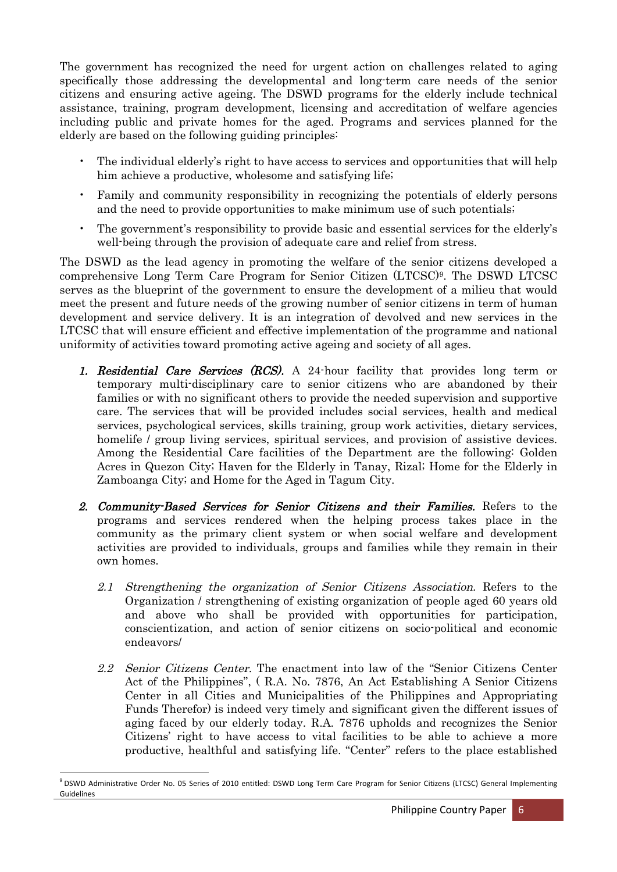The government has recognized the need for urgent action on challenges related to aging specifically those addressing the developmental and long-term care needs of the senior citizens and ensuring active ageing. The DSWD programs for the elderly include technical assistance, training, program development, licensing and accreditation of welfare agencies including public and private homes for the aged. Programs and services planned for the elderly are based on the following guiding principles:

- The individual elderly's right to have access to services and opportunities that will help him achieve a productive, wholesome and satisfying life;
- Family and community responsibility in recognizing the potentials of elderly persons and the need to provide opportunities to make minimum use of such potentials;
- The government's responsibility to provide basic and essential services for the elderly's well-being through the provision of adequate care and relief from stress.

The DSWD as the lead agency in promoting the welfare of the senior citizens developed a comprehensive Long Term Care Program for Senior Citizen (LTCSC) 9 . The DSWD LTCSC serves as the blueprint of the government to ensure the development of a milieu that would meet the present and future needs of the growing number of senior citizens in term of human development and service delivery. It is an integration of devolved and new services in the LTCSC that will ensure efficient and effective implementation of the programme and national uniformity of activities toward promoting active ageing and society of all ages.

- 1. Residential Care Services (RCS). A 24-hour facility that provides long term or temporary multi-disciplinary care to senior citizens who are abandoned by their families or with no significant others to provide the needed supervision and supportive care. The services that will be provided includes social services, health and medical services, psychological services, skills training, group work activities, dietary services, homelife / group living services, spiritual services, and provision of assistive devices. Among the Residential Care facilities of the Department are the following: Golden Acres in Quezon City; Haven for the Elderly in Tanay, Rizal; Home for the Elderly in Zamboanga City; and Home for the Aged in Tagum City.
- 2. Community-Based Services for Senior Citizens and their Families. Refers to the programs and services rendered when the helping process takes place in the community as the primary client system or when social welfare and development activities are provided to individuals, groups and families while they remain in their own homes.
	- 2.1 Strengthening the organization of Senior Citizens Association. Refers to the Organization / strengthening of existing organization of people aged 60 years old and above who shall be provided with opportunities for participation, conscientization, and action of senior citizens on socio-political and economic endeavors/
	- 2.2 Senior Citizens Center. The enactment into law of the "Senior Citizens Center" Act of the Philippines", ( R.A. No. 7876, An Act Establishing A Senior Citizens Center in all Cities and Municipalities of the Philippines and Appropriating Funds Therefor) is indeed very timely and significant given the different issues of aging faced by our elderly today. R.A. 7876 upholds and recognizes the Senior Citizens' right to have access to vital facilities to be able to achieve a more productive, healthful and satisfying life. "Center" refers to the place established

<sup>9</sup> DSWD Administrative Order No. 05 Series of 2010 entitled: DSWD Long Term Care Program for Senior Citizens (LTCSC) General Implementing Guidelines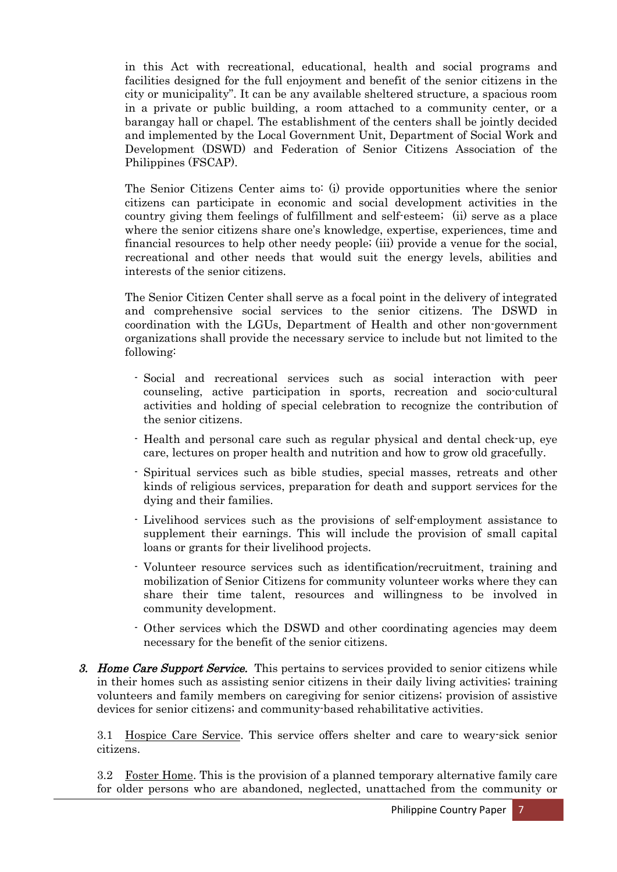in this Act with recreational, educational, health and social programs and facilities designed for the full enjoyment and benefit of the senior citizens in the city or municipality". It can be any available sheltered structure, a spacious room in a private or public building, a room attached to a community center, or a barangay hall or chapel. The establishment of the centers shall be jointly decided and implemented by the Local Government Unit, Department of Social Work and Development (DSWD) and Federation of Senior Citizens Association of the Philippines (FSCAP).

The Senior Citizens Center aims to: (i) provide opportunities where the senior citizens can participate in economic and social development activities in the country giving them feelings of fulfillment and self-esteem; (ii) serve as a place where the senior citizens share one's knowledge, expertise, experiences, time and financial resources to help other needy people; (iii) provide a venue for the social, recreational and other needs that would suit the energy levels, abilities and interests of the senior citizens.

The Senior Citizen Center shall serve as a focal point in the delivery of integrated and comprehensive social services to the senior citizens. The DSWD in coordination with the LGUs, Department of Health and other non-government organizations shall provide the necessary service to include but not limited to the following:

- Social and recreational services such as social interaction with peer counseling, active participation in sports, recreation and socio-cultural activities and holding of special celebration to recognize the contribution of the senior citizens.
- Health and personal care such as regular physical and dental check-up, eye care, lectures on proper health and nutrition and how to grow old gracefully.
- Spiritual services such as bible studies, special masses, retreats and other kinds of religious services, preparation for death and support services for the dying and their families.
- Livelihood services such as the provisions of self-employment assistance to supplement their earnings. This will include the provision of small capital loans or grants for their livelihood projects.
- Volunteer resource services such as identification/recruitment, training and mobilization of Senior Citizens for community volunteer works where they can share their time talent, resources and willingness to be involved in community development.
- Other services which the DSWD and other coordinating agencies may deem necessary for the benefit of the senior citizens.
- 3. Home Care Support Service. This pertains to services provided to senior citizens while in their homes such as assisting senior citizens in their daily living activities; training volunteers and family members on caregiving for senior citizens; provision of assistive devices for senior citizens; and community-based rehabilitative activities.

3.1 Hospice Care Service. This service offers shelter and care to weary-sick senior citizens.

3.2 Foster Home. This is the provision of a planned temporary alternative family care for older persons who are abandoned, neglected, unattached from the community or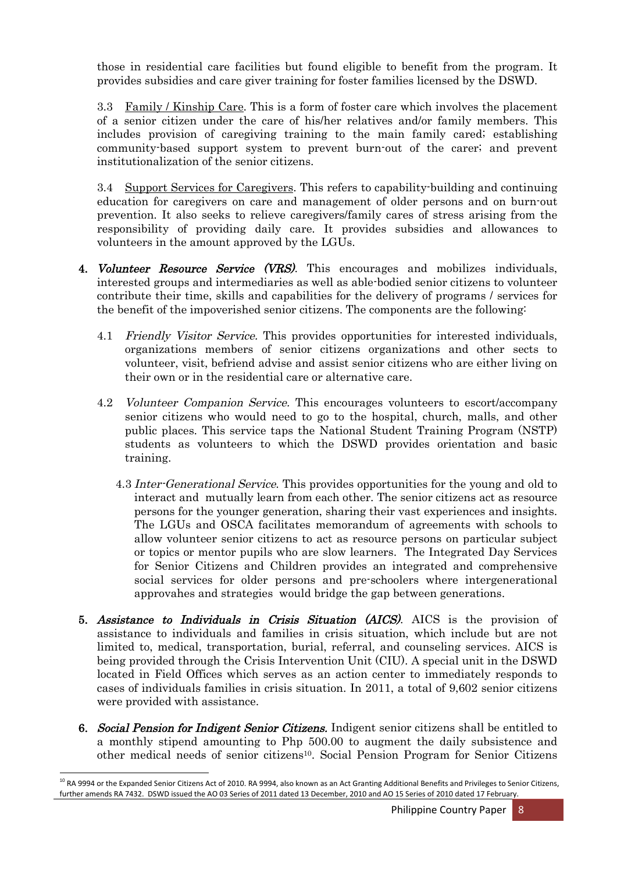those in residential care facilities but found eligible to benefit from the program. It provides subsidies and care giver training for foster families licensed by the DSWD.

3.3 Family / Kinship Care. This is a form of foster care which involves the placement of a senior citizen under the care of his/her relatives and/or family members. This includes provision of caregiving training to the main family cared; establishing community-based support system to prevent burn-out of the carer; and prevent institutionalization of the senior citizens.

3.4 Support Services for Caregivers. This refers to capability-building and continuing education for caregivers on care and management of older persons and on burn-out prevention. It also seeks to relieve caregivers/family cares of stress arising from the responsibility of providing daily care. It provides subsidies and allowances to volunteers in the amount approved by the LGUs.

- 4. Volunteer Resource Service (VRS). This encourages and mobilizes individuals, interested groups and intermediaries as well as able-bodied senior citizens to volunteer contribute their time, skills and capabilities for the delivery of programs / services for the benefit of the impoverished senior citizens. The components are the following:
	- 4.1 Friendly Visitor Service. This provides opportunities for interested individuals, organizations members of senior citizens organizations and other sects to volunteer, visit, befriend advise and assist senior citizens who are either living on their own or in the residential care or alternative care.
	- 4.2 Volunteer Companion Service. This encourages volunteers to escort/accompany senior citizens who would need to go to the hospital, church, malls, and other public places. This service taps the National Student Training Program (NSTP) students as volunteers to which the DSWD provides orientation and basic training.
		- 4.3 Inter-Generational Service. This provides opportunities for the young and old to interact and mutually learn from each other. The senior citizens act as resource persons for the younger generation, sharing their vast experiences and insights. The LGUs and OSCA facilitates memorandum of agreements with schools to allow volunteer senior citizens to act as resource persons on particular subject or topics or mentor pupils who are slow learners. The Integrated Day Services for Senior Citizens and Children provides an integrated and comprehensive social services for older persons and pre-schoolers where intergenerational approvahes and strategies would bridge the gap between generations.
- 5. Assistance to Individuals in Crisis Situation (AICS). AICS is the provision of assistance to individuals and families in crisis situation, which include but are not limited to, medical, transportation, burial, referral, and counseling services. AICS is being provided through the Crisis Intervention Unit (CIU). A special unit in the DSWD located in Field Offices which serves as an action center to immediately responds to cases of individuals families in crisis situation. In 2011, a total of 9,602 senior citizens were provided with assistance.
- 6. Social Pension for Indigent Senior Citizens. Indigent senior citizens shall be entitled to a monthly stipend amounting to Php 500.00 to augment the daily subsistence and other medical needs of senior citizens 10 . Social Pension Program for Senior Citizens

 $^{10}$  RA 9994 or the Expanded Senior Citizens Act of 2010. RA 9994, also known as an Act Granting Additional Benefits and Privileges to Senior Citizens, further amends RA 7432. DSWD issued the AO 03 Series of 2011 dated 13 December, 2010 and AO 15 Series of 2010 dated 17 February.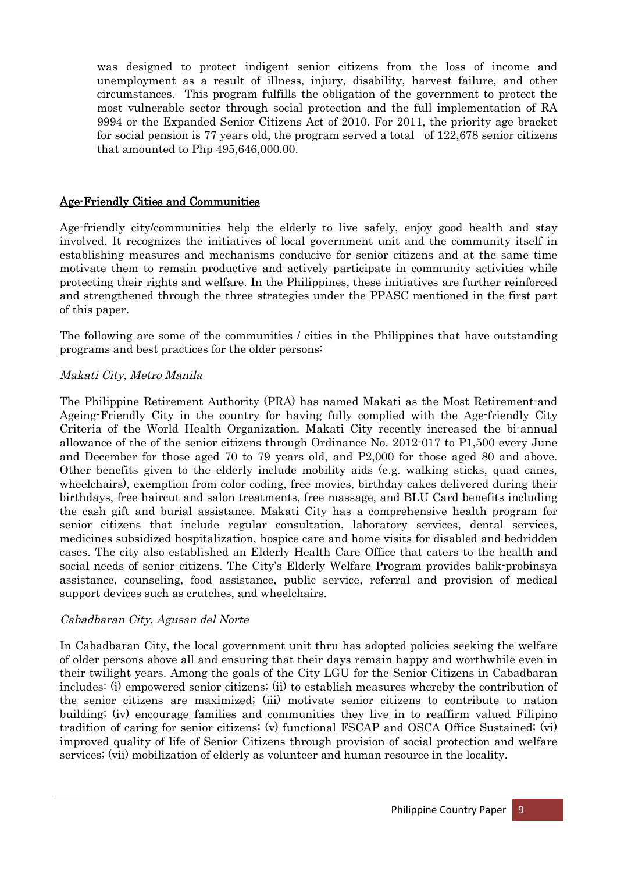was designed to protect indigent senior citizens from the loss of income and unemployment as a result of illness, injury, disability, harvest failure, and other circumstances. This program fulfills the obligation of the government to protect the most vulnerable sector through social protection and the full implementation of RA 9994 or the Expanded Senior Citizens Act of 2010. For 2011, the priority age bracket for social pension is 77 years old, the program served a total of 122,678 senior citizens that amounted to Php 495,646,000.00.

#### Age-Friendly Cities and Communities

Age-friendly city/communities help the elderly to live safely, enjoy good health and stay involved. It recognizes the initiatives of local government unit and the community itself in establishing measures and mechanisms conducive for senior citizens and at the same time motivate them to remain productive and actively participate in community activities while protecting their rights and welfare. In the Philippines, these initiatives are further reinforced and strengthened through the three strategies under the PPASC mentioned in the first part of this paper.

The following are some of the communities / cities in the Philippines that have outstanding programs and best practices for the older persons:

#### Makati City, Metro Manila

The Philippine Retirement Authority (PRA) has named Makati as the Most Retirement-and Ageing-Friendly City in the country for having fully complied with the Age-friendly City Criteria of the World Health Organization. Makati City recently increased the bi-annual allowance of the of the senior citizens through Ordinance No. 2012-017 to P1,500 every June and December for those aged 70 to 79 years old, and P2,000 for those aged 80 and above. Other benefits given to the elderly include mobility aids (e.g. walking sticks, quad canes, wheelchairs), exemption from color coding, free movies, birthday cakes delivered during their birthdays, free haircut and salon treatments, free massage, and BLU Card benefits including the cash gift and burial assistance. Makati City has a comprehensive health program for senior citizens that include regular consultation, laboratory services, dental services, medicines subsidized hospitalization, hospice care and home visits for disabled and bedridden cases. The city also established an Elderly Health Care Office that caters to the health and social needs of senior citizens. The City's Elderly Welfare Program provides balik-probinsya assistance, counseling, food assistance, public service, referral and provision of medical support devices such as crutches, and wheelchairs.

#### Cabadbaran City, Agusan del Norte

In Cabadbaran City, the local government unit thru has adopted policies seeking the welfare of older persons above all and ensuring that their days remain happy and worthwhile even in their twilight years. Among the goals of the City LGU for the Senior Citizens in Cabadbaran includes: (i) empowered senior citizens; (ii) to establish measures whereby the contribution of the senior citizens are maximized; (iii) motivate senior citizens to contribute to nation building; (iv) encourage families and communities they live in to reaffirm valued Filipino tradition of caring for senior citizens; (v) functional FSCAP and OSCA Office Sustained; (vi) improved quality of life of Senior Citizens through provision of social protection and welfare services; (vii) mobilization of elderly as volunteer and human resource in the locality.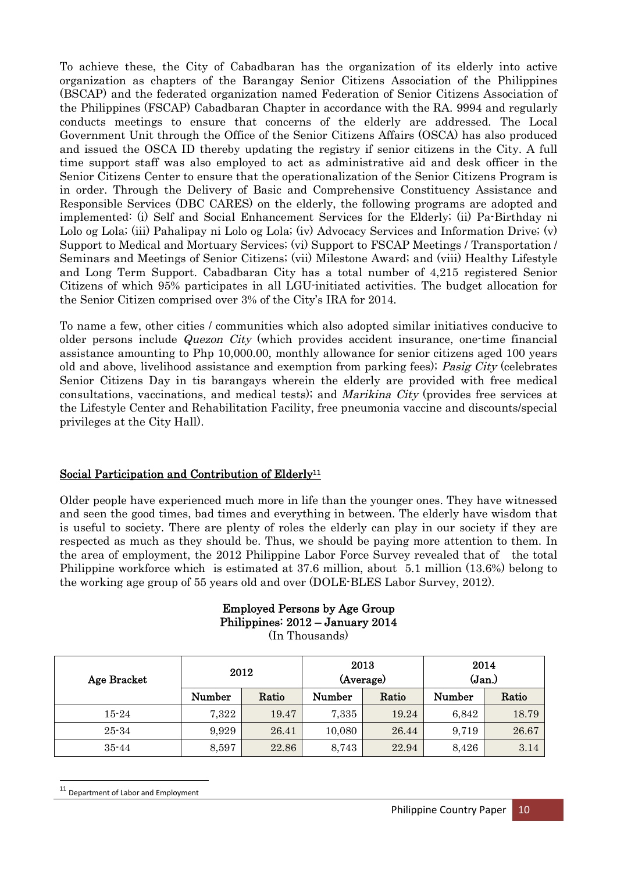To achieve these, the City of Cabadbaran has the organization of its elderly into active organization as chapters of the Barangay Senior Citizens Association of the Philippines (BSCAP) and the federated organization named Federation of Senior Citizens Association of the Philippines (FSCAP) Cabadbaran Chapter in accordance with the RA. 9994 and regularly conducts meetings to ensure that concerns of the elderly are addressed. The Local Government Unit through the Office of the Senior Citizens Affairs (OSCA) has also produced and issued the OSCA ID thereby updating the registry if senior citizens in the City. A full time support staff was also employed to act as administrative aid and desk officer in the Senior Citizens Center to ensure that the operationalization of the Senior Citizens Program is in order. Through the Delivery of Basic and Comprehensive Constituency Assistance and Responsible Services (DBC CARES) on the elderly, the following programs are adopted and implemented: (i) Self and Social Enhancement Services for the Elderly; (ii) Pa-Birthday ni Lolo og Lola; (iii) Pahalipay ni Lolo og Lola; (iv) Advocacy Services and Information Drive; (v) Support to Medical and Mortuary Services; (vi) Support to FSCAP Meetings / Transportation / Seminars and Meetings of Senior Citizens; (vii) Milestone Award; and (viii) Healthy Lifestyle and Long Term Support. Cabadbaran City has a total number of 4,215 registered Senior Citizens of which 95% participates in all LGU-initiated activities. The budget allocation for the Senior Citizen comprised over 3% of the City's IRA for 2014.

To name a few, other cities / communities which also adopted similar initiatives conducive to older persons include Quezon City (which provides accident insurance, one-time financial assistance amounting to Php 10,000.00, monthly allowance for senior citizens aged 100 years old and above, livelihood assistance and exemption from parking fees); Pasig City (celebrates Senior Citizens Day in tis barangays wherein the elderly are provided with free medical consultations, vaccinations, and medical tests); and *Marikina City* (provides free services at the Lifestyle Center and Rehabilitation Facility, free pneumonia vaccine and discounts/special privileges at the City Hall).

### Social Participation and Contribution of Elderly<sup>11</sup>

Older people have experienced much more in life than the younger ones. They have witnessed and seen the good times, bad times and everything in between. The elderly have wisdom that is useful to society. There are plenty of roles the elderly can play in our society if they are respected as much as they should be. Thus, we should be paying more attention to them. In the area of employment, the 2012 Philippine Labor Force Survey revealed that of the total Philippine workforce which is estimated at 37.6 million, about 5.1 million (13.6%) belong to the working age group of 55 years old and over (DOLE-BLES Labor Survey, 2012).

# Employed Persons by Age Group Philippines: 2012 – January 2014

(In Thousands)

| Age Bracket | 2012   |       | 2013<br>(Average) |       | 2014<br>$({\rm Jan.})$ |       |
|-------------|--------|-------|-------------------|-------|------------------------|-------|
|             | Number | Ratio | Number            | Ratio | Number                 | Ratio |
| $15 - 24$   | 7,322  | 19.47 | 7,335             | 19.24 | 6,842                  | 18.79 |
| $25 - 34$   | 9.929  | 26.41 | 10,080            | 26.44 | 9,719                  | 26.67 |
| $35 - 44$   | 8,597  | 22.86 | 8,743             | 22.94 | 8,426                  | 3.14  |

<sup>11</sup> Department of Labor and Employment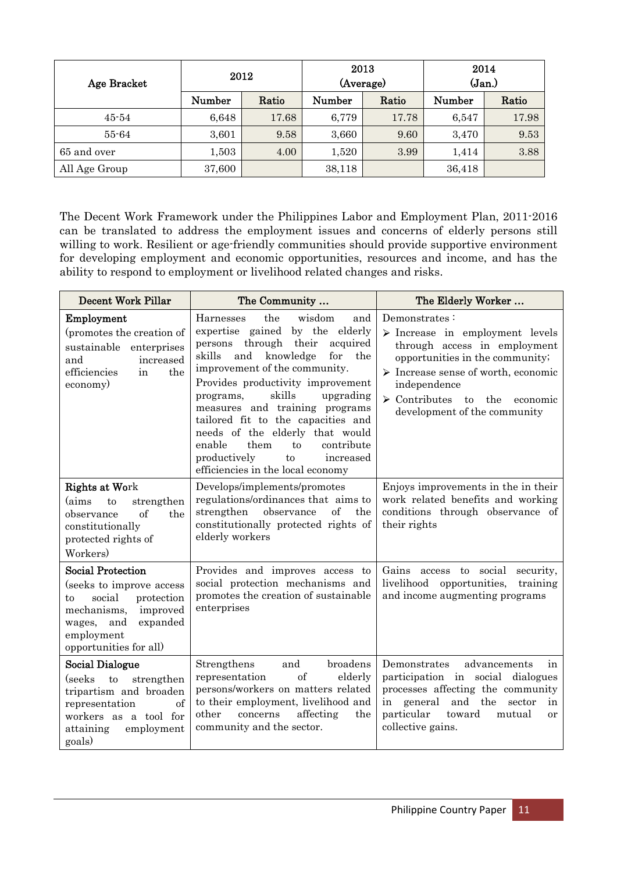| Age Bracket   | 2012   |       | 2013<br>(Average) |       | 2014<br>(Jan.) |       |
|---------------|--------|-------|-------------------|-------|----------------|-------|
|               | Number | Ratio | Number            | Ratio | Number         | Ratio |
| $45 - 54$     | 6,648  | 17.68 | 6,779             | 17.78 | 6,547          | 17.98 |
| 55-64         | 3,601  | 9.58  | 3,660             | 9.60  | 3,470          | 9.53  |
| 65 and over   | 1,503  | 4.00  | 1,520             | 3.99  | 1,414          | 3.88  |
| All Age Group | 37,600 |       | 38,118            |       | 36,418         |       |

The Decent Work Framework under the Philippines Labor and Employment Plan, 2011-2016 can be translated to address the employment issues and concerns of elderly persons still willing to work. Resilient or age-friendly communities should provide supportive environment for developing employment and economic opportunities, resources and income, and has the ability to respond to employment or livelihood related changes and risks.

| <b>Decent Work Pillar</b>                                                                                                                                                          | The Community                                                                                                                                                                                                                                                                                                                                                                                                                                                                                  | The Elderly Worker                                                                                                                                                                                                                                                                             |  |  |
|------------------------------------------------------------------------------------------------------------------------------------------------------------------------------------|------------------------------------------------------------------------------------------------------------------------------------------------------------------------------------------------------------------------------------------------------------------------------------------------------------------------------------------------------------------------------------------------------------------------------------------------------------------------------------------------|------------------------------------------------------------------------------------------------------------------------------------------------------------------------------------------------------------------------------------------------------------------------------------------------|--|--|
| Employment<br>(promotes the creation of<br>sustainable<br>enterprises<br>and<br>increased<br>efficiencies<br>the<br>in<br>economy)                                                 | the<br>wisdom<br>Harnesses<br>and<br>expertise gained by the elderly<br>through<br>their<br>acquired<br>persons<br>knowledge<br>for<br>skills<br>and<br>the<br>improvement of the community.<br>Provides productivity improvement<br>skills<br>upgrading<br>programs,<br>measures and training programs<br>tailored fit to the capacities and<br>needs of the elderly that would<br>them<br>contribute<br>enable<br>to<br>productively<br>to<br>increased<br>efficiencies in the local economy | Demonstrates:<br>$\triangleright$ Increase in employment levels<br>through access in employment<br>opportunities in the community;<br>$\triangleright$ Increase sense of worth, economic<br>independence<br>$\triangleright$ Contributes<br>to the<br>economic<br>development of the community |  |  |
| <b>Rights at Work</b><br>(aims<br>to<br>strengthen<br>of<br>the<br>observance<br>constitutionally<br>protected rights of<br>Workers)                                               | Develops/implements/promotes<br>regulations/ordinances that aims to<br>of<br>strengthen<br>observance<br>the<br>constitutionally protected rights of<br>elderly workers                                                                                                                                                                                                                                                                                                                        | Enjoys improvements in the in their<br>work related benefits and working<br>conditions through observance of<br>their rights                                                                                                                                                                   |  |  |
| <b>Social Protection</b><br>(seeks to improve access<br>social<br>protection<br>to<br>mechanisms,<br>improved<br>expanded<br>wages,<br>and<br>employment<br>opportunities for all) | Provides and improves access to<br>social protection mechanisms and<br>promotes the creation of sustainable<br>enterprises                                                                                                                                                                                                                                                                                                                                                                     | Gains access to social<br>security,<br>livelihood opportunities,<br>training<br>and income augmenting programs                                                                                                                                                                                 |  |  |
| Social Dialogue<br>(seeks<br>to<br>strengthen<br>tripartism and broaden<br>representation<br>of<br>workers as a tool for<br>employment<br>attaining<br>goals)                      | broadens<br>Strengthens<br>and<br>of<br>elderly<br>representation<br>persons/workers on matters related<br>to their employment, livelihood and<br>concerns<br>affecting<br>other<br>the<br>community and the sector.                                                                                                                                                                                                                                                                           | advancements<br>Demonstrates<br>in<br>participation in social<br>dialogues<br>processes affecting the community<br>and the<br>in general<br>sector<br>in<br>particular<br>toward<br>mutual<br><sub>or</sub><br>collective gains.                                                               |  |  |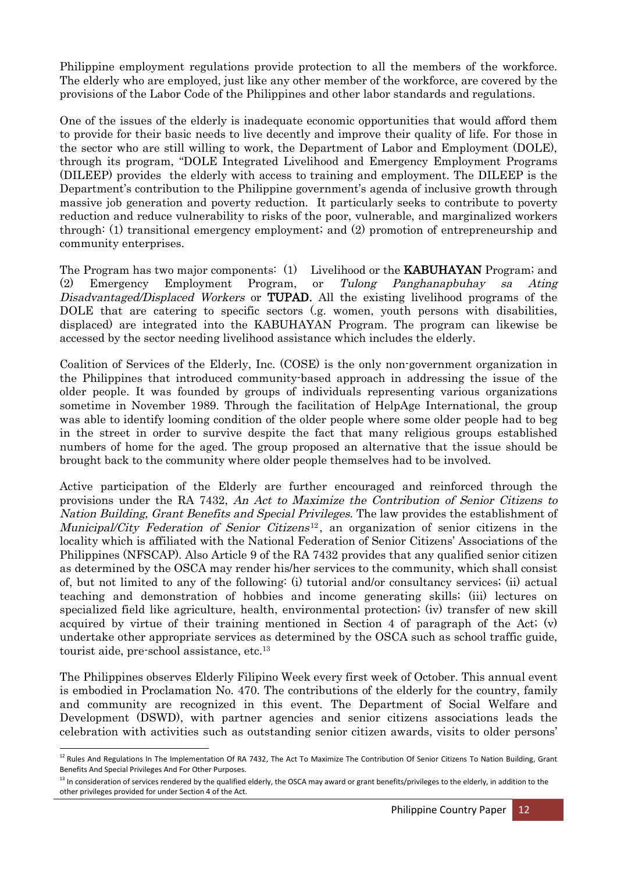Philippine employment regulations provide protection to all the members of the workforce. The elderly who are employed, just like any other member of the workforce, are covered by the provisions of the Labor Code of the Philippines and other labor standards and regulations.

One of the issues of the elderly is inadequate economic opportunities that would afford them to provide for their basic needs to live decently and improve their quality of life. For those in the sector who are still willing to work, the Department of Labor and Employment (DOLE), through its program, "DOLE Integrated Livelihood and Emergency Employment Programs (DILEEP) provides the elderly with access to training and employment. The DILEEP is the Department's contribution to the Philippine government's agenda of inclusive growth through massive job generation and poverty reduction. It particularly seeks to contribute to poverty reduction and reduce vulnerability to risks of the poor, vulnerable, and marginalized workers through: (1) transitional emergency employment; and (2) promotion of entrepreneurship and community enterprises.

The Program has two major components: (1) Livelihood or the **KABUHAYAN** Program; and (2) Emergency Employment Program, or Tulong Panghanapbuhay sa Ating Disadvantaged/Displaced Workers or **TUPAD**. All the existing livelihood programs of the DOLE that are catering to specific sectors (.g. women, youth persons with disabilities, displaced) are integrated into the KABUHAYAN Program. The program can likewise be accessed by the sector needing livelihood assistance which includes the elderly.

Coalition of Services of the Elderly, Inc. (COSE) is the only non-government organization in the Philippines that introduced community-based approach in addressing the issue of the older people. It was founded by groups of individuals representing various organizations sometime in November 1989. Through the facilitation of HelpAge International, the group was able to identify looming condition of the older people where some older people had to beg in the street in order to survive despite the fact that many religious groups established numbers of home for the aged. The group proposed an alternative that the issue should be brought back to the community where older people themselves had to be involved.

Active participation of the Elderly are further encouraged and reinforced through the provisions under the RA 7432, An Act to Maximize the Contribution of Senior Citizens to Nation Building, Grant Benefits and Special Privileges. The law provides the establishment of Municipal/City Federation of Senior Citizens<sup>12</sup>, an organization of senior citizens in the locality which is affiliated with the National Federation of Senior Citizens' Associations of the Philippines (NFSCAP). Also Article 9 of the RA 7432 provides that any qualified senior citizen as determined by the OSCA may render his/her services to the community, which shall consist of, but not limited to any of the following: (i) tutorial and/or consultancy services; (ii) actual teaching and demonstration of hobbies and income generating skills; (iii) lectures on specialized field like agriculture, health, environmental protection; (iv) transfer of new skill acquired by virtue of their training mentioned in Section 4 of paragraph of the Act;  $(v)$ undertake other appropriate services as determined by the OSCA such as school traffic guide, tourist aide, pre-school assistance, etc. 13

The Philippines observes Elderly Filipino Week every first week of October. This annual event is embodied in Proclamation No. 470. The contributions of the elderly for the country, family and community are recognized in this event. The Department of Social Welfare and Development (DSWD), with partner agencies and senior citizens associations leads the celebration with activities such as outstanding senior citizen awards, visits to older persons'

<sup>&</sup>lt;sup>12</sup> Rules And Regulations In The Implementation Of RA 7432, The Act To Maximize The Contribution Of Senior Citizens To Nation Building, Grant Benefits And Special Privileges And For Other Purposes.

 $^{13}$  In consideration of services rendered by the qualified elderly, the OSCA may award or grant benefits/privileges to the elderly, in addition to the other privileges provided for under Section 4 of the Act.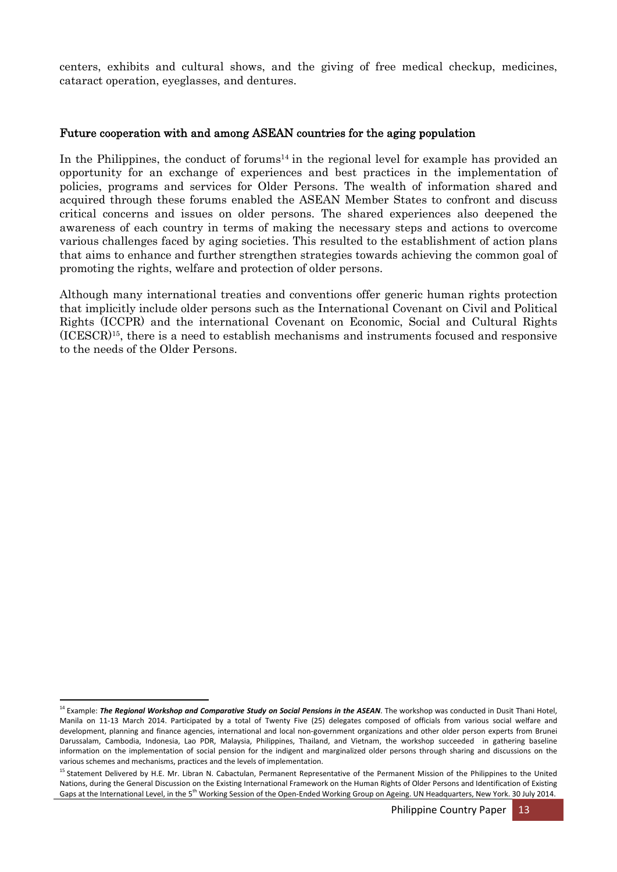centers, exhibits and cultural shows, and the giving of free medical checkup, medicines, cataract operation, eyeglasses, and dentures.

#### Future cooperation with and among ASEAN countries for the aging population

In the Philippines, the conduct of forums<sup>14</sup> in the regional level for example has provided an opportunity for an exchange of experiences and best practices in the implementation of policies, programs and services for Older Persons. The wealth of information shared and acquired through these forums enabled the ASEAN Member States to confront and discuss critical concerns and issues on older persons. The shared experiences also deepened the awareness of each country in terms of making the necessary steps and actions to overcome various challenges faced by aging societies. This resulted to the establishment of action plans that aims to enhance and further strengthen strategies towards achieving the common goal of promoting the rights, welfare and protection of older persons.

Although many international treaties and conventions offer generic human rights protection that implicitly include older persons such as the International Covenant on Civil and Political Rights (ICCPR) and the international Covenant on Economic, Social and Cultural Rights (ICESCR) 15 , there is a need to establish mechanisms and instruments focused and responsive to the needs of the Older Persons.

<sup>14</sup> Example: *The Regional Workshop and Comparative Study on Social Pensions in the ASEAN*. The workshop was conducted in Dusit Thani Hotel, Manila on 11-13 March 2014. Participated by a total of Twenty Five (25) delegates composed of officials from various social welfare and development, planning and finance agencies, international and local non-government organizations and other older person experts from Brunei Darussalam, Cambodia, Indonesia, Lao PDR, Malaysia, Philippines, Thailand, and Vietnam, the workshop succeeded in gathering baseline information on the implementation of social pension for the indigent and marginalized older persons through sharing and discussions on the various schemes and mechanisms, practices and the levels of implementation.

<sup>&</sup>lt;sup>15</sup> Statement Delivered by H.E. Mr. Libran N. Cabactulan, Permanent Representative of the Permanent Mission of the Philippines to the United Nations, during the General Discussion on the Existing International Framework on the Human Rights of Older Persons and Identification of Existing Gaps at the International Level, in the 5<sup>th</sup> Working Session of the Open-Ended Working Group on Ageing. UN Headquarters, New York. 30 July 2014.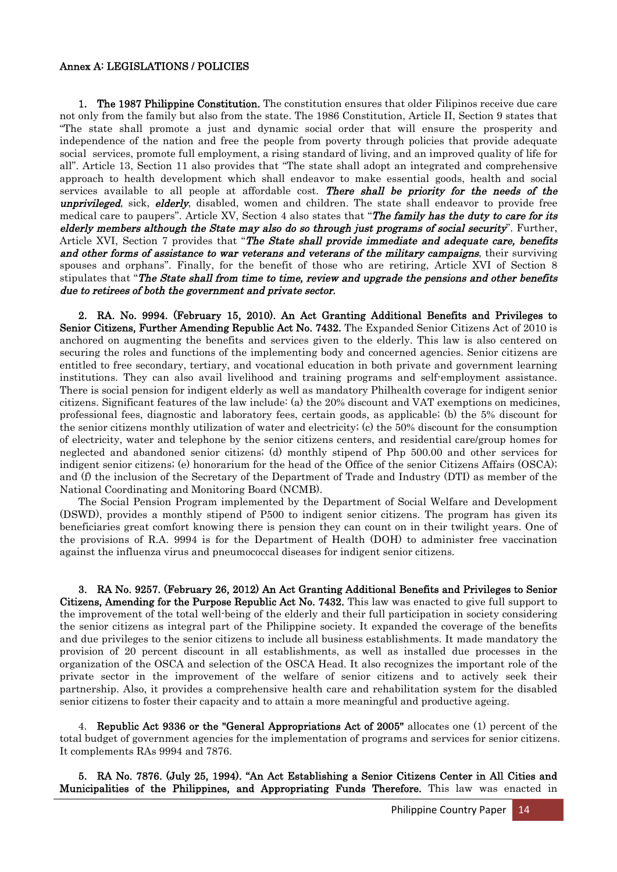#### Annex A: LEGISLATIONS / POLICIES

1. The 1987 Philippine Constitution. The constitution ensures that older Filipinos receive due care not only from the family but also from the state. The 1986 Constitution, Article II, Section 9 states that "The state shall promote a just and dynamic social order that will ensure the prosperity and independence of the nation and free the people from poverty through policies that provide adequate social services, promote full employment, a rising standard of living, and an improved quality of life for all". Article 13, Section 11 also provides that "The state shall adopt an integrated and comprehensive approach to health development which shall endeavor to make essential goods, health and social services available to all people at affordable cost. There shall be priority for the needs of the unprivileged, sick, elderly, disabled, women and children. The state shall endeavor to provide free medical care to paupers". Article XV, Section 4 also states that "The family has the duty to care for its elderly members although the State may also do so through just programs of social security". Further, Article XVI, Section 7 provides that "The State shall provide immediate and adequate care, benefits and other forms of assistance to war veterans and veterans of the military campaigns, their surviving spouses and orphans". Finally, for the benefit of those who are retiring, Article XVI of Section 8 stipulates that "The State shall from time to time, review and upgrade the pensions and other benefits due to retirees of both the government and private sector.

2. RA. No. 9994. (February 15, 2010). An Act Granting Additional Benefits and Privileges to Senior Citizens, Further Amending Republic Act No. 7432. The Expanded Senior Citizens Act of 2010 is anchored on augmenting the benefits and services given to the elderly. This law is also centered on securing the roles and functions of the implementing body and concerned agencies. Senior citizens are entitled to free secondary, tertiary, and vocational education in both private and government learning institutions. They can also avail livelihood and training programs and self-employment assistance. There is social pension for indigent elderly as well as mandatory Philhealth coverage for indigent senior citizens. Significant features of the law include: (a) the 20% discount and VAT exemptions on medicines, professional fees, diagnostic and laboratory fees, certain goods, as applicable; (b) the 5% discount for the senior citizens monthly utilization of water and electricity; (c) the 50% discount for the consumption of electricity, water and telephone by the senior citizens centers, and residential care/group homes for neglected and abandoned senior citizens; (d) monthly stipend of Php 500.00 and other services for indigent senior citizens; (e) honorarium for the head of the Office of the senior Citizens Affairs (OSCA); and (f) the inclusion of the Secretary of the Department of Trade and Industry (DTI) as member of the National Coordinating and Monitoring Board (NCMB).

The Social Pension Program implemented by the Department of Social Welfare and Development (DSWD), provides a monthly stipend of P500 to indigent senior citizens. The program has given its beneficiaries great comfort knowing there is pension they can count on in their twilight years. One of the provisions of R.A. 9994 is for the Department of Health (DOH) to administer free vaccination against the influenza virus and pneumococcal diseases for indigent senior citizens.

3. RA No. 9257. (February 26, 2012) An Act Granting Additional Benefits and Privileges to Senior Citizens, Amending for the Purpose Republic Act No. 7432. This law was enacted to give full support to the improvement of the total well-being of the elderly and their full participation in society considering the senior citizens as integral part of the Philippine society. It expanded the coverage of the benefits and due privileges to the senior citizens to include all business establishments. It made mandatory the provision of 20 percent discount in all establishments, as well as installed due processes in the organization of the OSCA and selection of the OSCA Head. It also recognizes the important role of the private sector in the improvement of the welfare of senior citizens and to actively seek their partnership. Also, it provides a comprehensive health care and rehabilitation system for the disabled senior citizens to foster their capacity and to attain a more meaningful and productive ageing.

4. Republic Act 9336 or the "General Appropriations Act of 2005" allocates one (1) percent of the total budget of government agencies for the implementation of programs and services for senior citizens. It complements RAs 9994 and 7876.

5. RA No. 7876. (July 25, 1994). "An Act Establishing a Senior Citizens Center in All Cities and Municipalities of the Philippines, and Appropriating Funds Therefore. This law was enacted in